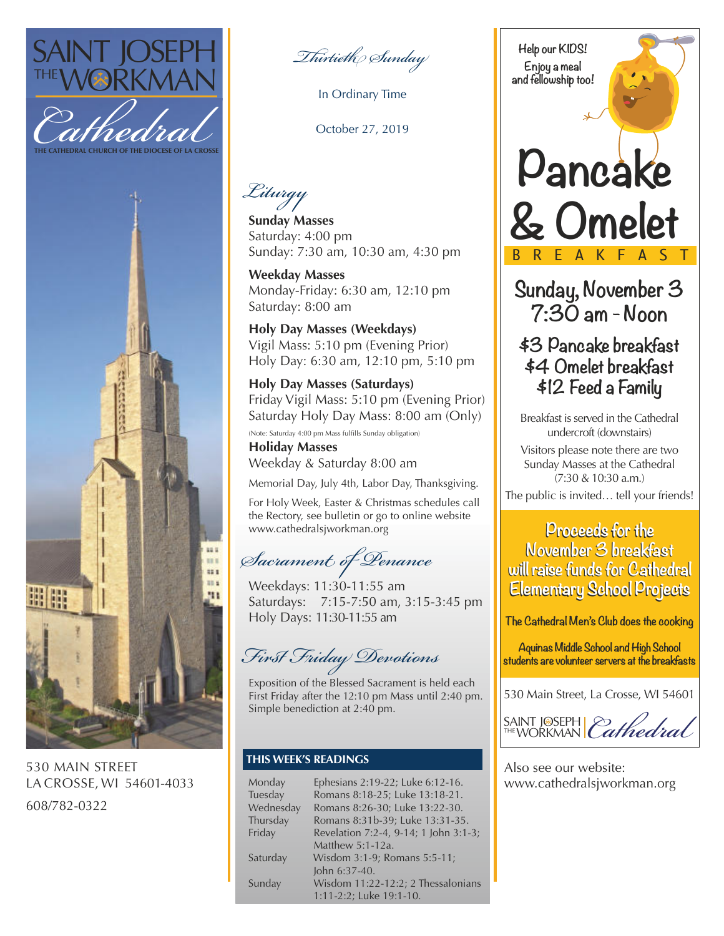



530 MAIN STREET LA CROSSE, WI 54601-4033 608/782-0322

*Thirtieth Sunday*

In Ordinary Time

October 27, 2019

*Liturgy*

**Sunday Masses** Saturday: 4:00 pm Sunday: 7:30 am, 10:30 am, 4:30 pm

**Weekday Masses** Monday-Friday: 6:30 am, 12:10 pm Saturday: 8:00 am

**Holy Day Masses (Weekdays)** Vigil Mass: 5:10 pm (Evening Prior) Holy Day: 6:30 am, 12:10 pm, 5:10 pm

**Holy Day Masses (Saturdays)** Friday Vigil Mass: 5:10 pm (Evening Prior) Saturday Holy Day Mass: 8:00 am (Only)

(Note: Saturday 4:00 pm Mass fulfills Sunday obligation)

**Holiday Masses** Weekday & Saturday 8:00 am

Memorial Day, July 4th, Labor Day, Thanksgiving.

For Holy Week, Easter & Christmas schedules call the Rectory, see bulletin or go to online website www.cathedralsjworkman.org

*Sacrament of Penance*

Weekdays: 11:30-11:55 am Saturdays: 7:15-7:50 am, 3:15-3:45 pm Holy Days: 11:30-11:55 am

*First Friday Devotions*

Exposition of the Blessed Sacrament is held each First Friday after the 12:10 pm Mass until 2:40 pm. Simple benediction at 2:40 pm.

## **THIS WEEK'S READINGS**

| Monday    | Ephesians 2:19-22; Luke 6:12-16.      |
|-----------|---------------------------------------|
| Tuesday   | Romans 8:18-25; Luke 13:18-21.        |
| Wednesday | Romans 8:26-30; Luke 13:22-30.        |
| Thursday  | Romans 8:31b-39; Luke 13:31-35.       |
| Friday    | Revelation 7:2-4, 9-14; 1 John 3:1-3; |
|           | Matthew 5:1-12a.                      |
| Saturday  | Wisdom 3:1-9; Romans 5:5-11;          |
|           | John 6:37-40.                         |
| Sunday    | Wisdom 11:22-12:2; 2 Thessalonians    |
|           | 1:11-2:2; Luke 19:1-10.               |

**Help our KIDS! Enjoy a meal and fellowship too!**

# **Pancake & Omelet** BREAKFAST

**Sunday, November 3 7:30 am - Noon**

# **\$3 Pancake breakfast \$4 Omelet breakfast \$12 Feed a Family**

Breakfast is served in the Cathedral undercroft (downstairs)

Visitors please note there are two Sunday Masses at the Cathedral (7:30 & 10:30 a.m.)

The public is invited… tell your friends!

# **Proceeds for the Proceeds for the November 3 breakfast November 3 breakfast will raise funds for Cathedral will raise funds for Cathedral Elementary School Projects Elementary School Projects**

**The Cathedral Men's Club does the cooking**

**Aquinas Middle School and High School students are volunteer servers at the breakfasts**

530 Main Street, La Crosse, WI 54601

SAINT J®SEPH | *Cathedral* 

Also see our website: www.cathedralsjworkman.org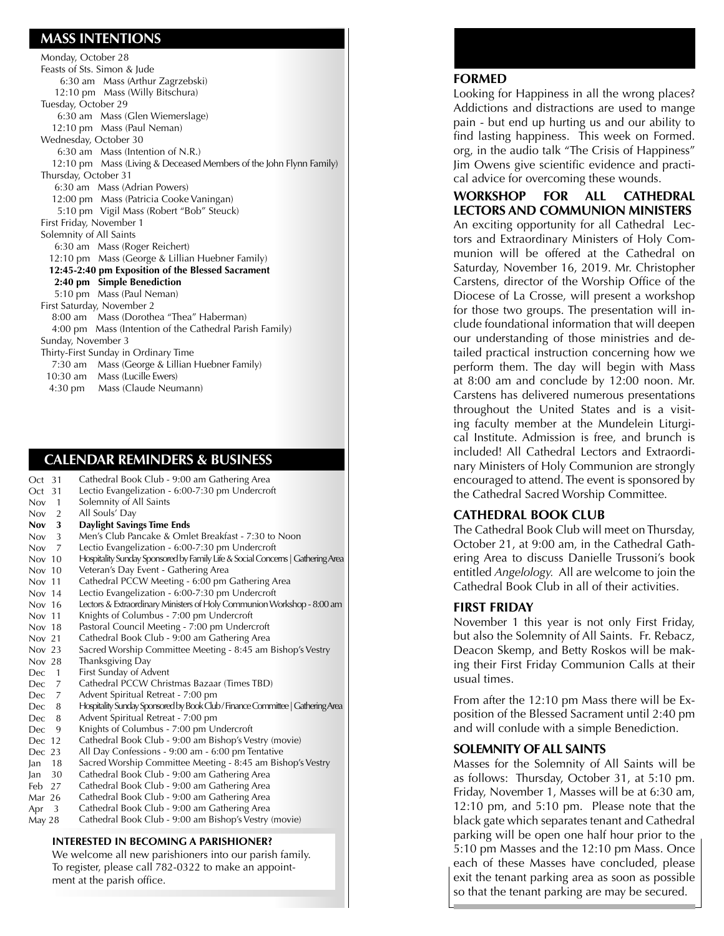## **MASS INTENTIONS**

| Monday, October 28                                                 |  |  |
|--------------------------------------------------------------------|--|--|
| Feasts of Sts. Simon & Jude                                        |  |  |
| 6:30 am Mass (Arthur Zagrzebski)                                   |  |  |
| 12:10 pm Mass (Willy Bitschura)                                    |  |  |
| Tuesday, October 29                                                |  |  |
| 6:30 am Mass (Glen Wiemerslage)                                    |  |  |
| 12:10 pm Mass (Paul Neman)                                         |  |  |
| Wednesday, October 30                                              |  |  |
| 6:30 am Mass (Intention of N.R.)                                   |  |  |
| 12:10 pm Mass (Living & Deceased Members of the John Flynn Family) |  |  |
| Thursday, October 31                                               |  |  |
| 6:30 am Mass (Adrian Powers)                                       |  |  |
| 12:00 pm Mass (Patricia Cooke Vaningan)                            |  |  |
| 5:10 pm Vigil Mass (Robert "Bob" Steuck)                           |  |  |
| First Friday, November 1                                           |  |  |
| Solemnity of All Saints                                            |  |  |
| 6:30 am Mass (Roger Reichert)                                      |  |  |
| 12:10 pm Mass (George & Lillian Huebner Family)                    |  |  |
| 12:45-2:40 pm Exposition of the Blessed Sacrament                  |  |  |
| 2:40 pm Simple Benediction                                         |  |  |
| 5:10 pm Mass (Paul Neman)                                          |  |  |
| First Saturday, November 2                                         |  |  |
| 8:00 am Mass (Dorothea "Thea" Haberman)                            |  |  |
| 4:00 pm Mass (Intention of the Cathedral Parish Family)            |  |  |
| Sunday, November 3                                                 |  |  |
| Thirty-First Sunday in Ordinary Time                               |  |  |
| 7:30 am Mass (George & Lillian Huebner Family)                     |  |  |
| 10:30 am Mass (Lucille Ewers)                                      |  |  |
| 4:30 pm Mass (Claude Neumann)                                      |  |  |

### **CALENDAR REMINDERS & BUSINESS**

| -31<br>Oct                   | Cathedral Book Club - 9:00 am Gathering Area                                   |
|------------------------------|--------------------------------------------------------------------------------|
| Oct<br>31                    | Lectio Evangelization - 6:00-7:30 pm Undercroft                                |
| Nov<br>$\overline{1}$        | Solemnity of All Saints                                                        |
| $\overline{2}$<br><b>Nov</b> | All Souls' Day                                                                 |
| 3<br><b>Nov</b>              | Daylight Savings Time Ends                                                     |
| <b>Nov</b><br>3              | Men's Club Pancake & Omlet Breakfast - 7:30 to Noon                            |
| Now <sub>7</sub>             | Lectio Evangelization - 6:00-7:30 pm Undercroft                                |
| Nov $10$                     | Hospitality Sunday Sponsored by Family Life & Social Concerns   Gathering Area |
| Nov $10$                     | Veteran's Day Event - Gathering Area                                           |
| Nov 11                       | Cathedral PCCW Meeting - 6:00 pm Gathering Area                                |
| Nov 14                       | Lectio Evangelization - 6:00-7:30 pm Undercroft                                |
| Nov 16                       | Lectors & Extraordinary Ministers of Holy Communion Workshop - 8:00 am         |
| Nov 11                       | Knights of Columbus - 7:00 pm Undercroft                                       |
| Nov 18                       | Pastoral Council Meeting - 7:00 pm Undercroft                                  |
| Nov 21                       | Cathedral Book Club - 9:00 am Gathering Area                                   |
| Nov $23$                     | Sacred Worship Committee Meeting - 8:45 am Bishop's Vestry                     |
| Nov 28                       | Thanksgiving Day                                                               |
| $\overline{1}$<br>Dec.       | First Sunday of Advent                                                         |
| Dec.<br>$\overline{7}$       | Cathedral PCCW Christmas Bazaar (Times TBD)                                    |
| $\overline{7}$<br>Dec.       | Advent Spiritual Retreat - 7:00 pm                                             |
| Dec.<br>8                    | Hospitality Sunday Sponsored by Book Club / Finance Committee   Gathering Area |
| 8<br>Dec.                    | Advent Spiritual Retreat - 7:00 pm                                             |
| 9<br>Dec                     | Knights of Columbus - 7:00 pm Undercroft                                       |
| Dec 12                       | Cathedral Book Club - 9:00 am Bishop's Vestry (movie)                          |
| Dec 23                       | All Day Confessions - 9:00 am - 6:00 pm Tentative                              |
| $\tan$ 18                    | Sacred Worship Committee Meeting - 8:45 am Bishop's Vestry                     |
| Jan $30$                     | Cathedral Book Club - 9:00 am Gathering Area                                   |
| Feb 27                       | Cathedral Book Club - 9:00 am Gathering Area                                   |
| Mar 26                       | Cathedral Book Club - 9:00 am Gathering Area                                   |
| 3<br>Apr                     | Cathedral Book Club - 9:00 am Gathering Area                                   |
| May 28                       | Cathedral Book Club - 9:00 am Bishop's Vestry (movie)                          |
|                              |                                                                                |

#### **INTERESTED IN BECOMING A PARISHIONER?**

We welcome all new parishioners into our parish family. To register, please call 782-0322 to make an appointment at the parish office.

#### **FORMED**

Looking for Happiness in all the wrong places? Addictions and distractions are used to mange pain - but end up hurting us and our ability to find lasting happiness. This week on Formed. org, in the audio talk "The Crisis of Happiness" Jim Owens give scientific evidence and practical advice for overcoming these wounds.

**WORKSHOP FOR ALL CATHEDRAL LECTORS AND COMMUNION MINISTERS** An exciting opportunity for all Cathedral Lectors and Extraordinary Ministers of Holy Communion will be offered at the Cathedral on Saturday, November 16, 2019. Mr. Christopher Carstens, director of the Worship Office of the Diocese of La Crosse, will present a workshop for those two groups. The presentation will include foundational information that will deepen our understanding of those ministries and detailed practical instruction concerning how we perform them. The day will begin with Mass at 8:00 am and conclude by 12:00 noon. Mr. Carstens has delivered numerous presentations throughout the United States and is a visiting faculty member at the Mundelein Liturgical Institute. Admission is free, and brunch is included! All Cathedral Lectors and Extraordinary Ministers of Holy Communion are strongly encouraged to attend. The event is sponsored by the Cathedral Sacred Worship Committee.

#### **CATHEDRAL BOOK CLUB**

The Cathedral Book Club will meet on Thursday, October 21, at 9:00 am, in the Cathedral Gathering Area to discuss Danielle Trussoni's book entitled *Angelology.* All are welcome to join the Cathedral Book Club in all of their activities.

#### **FIRST FRIDAY**

November 1 this year is not only First Friday, but also the Solemnity of All Saints. Fr. Rebacz, Deacon Skemp, and Betty Roskos will be making their First Friday Communion Calls at their usual times.

From after the 12:10 pm Mass there will be Exposition of the Blessed Sacrament until 2:40 pm and will conlude with a simple Benediction.

#### **SOLEMNITY OF ALL SAINTS**

Masses for the Solemnity of All Saints will be as follows: Thursday, October 31, at 5:10 pm. Friday, November 1, Masses will be at 6:30 am, 12:10 pm, and 5:10 pm. Please note that the black gate which separates tenant and Cathedral parking will be open one half hour prior to the 5:10 pm Masses and the 12:10 pm Mass. Once each of these Masses have concluded, please exit the tenant parking area as soon as possible so that the tenant parking are may be secured.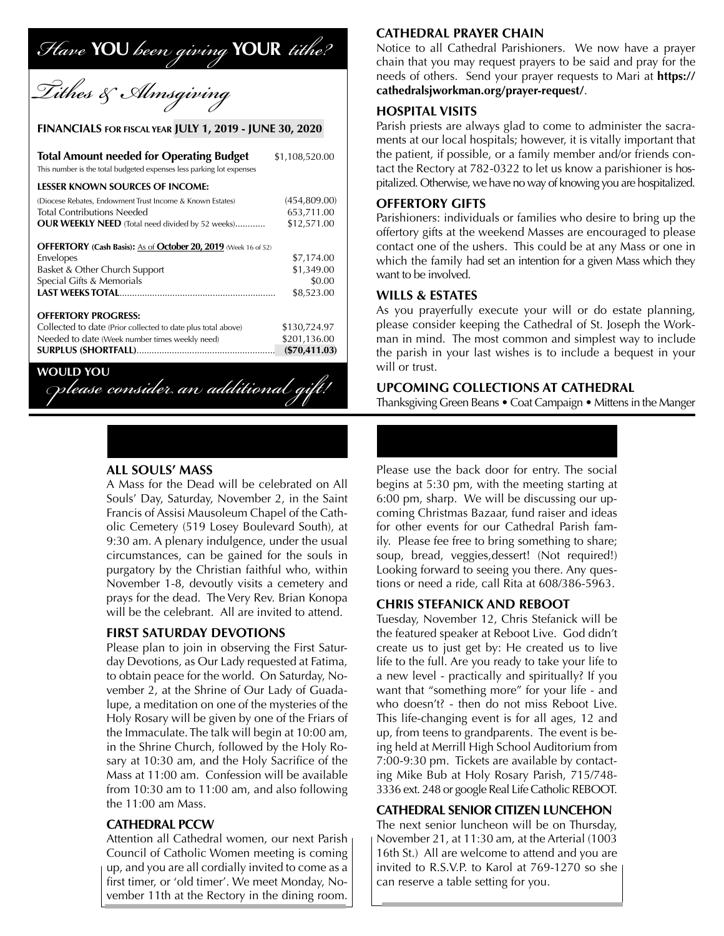# *Have* **YOU** *been giving* **YOUR** *tithe?*



#### **FINANCIALS FOR FISCAL YEAR JULY 1, 2019 - JUNE 30, 2020**

| <b>Total Amount needed for Operating Budget</b><br>This number is the total budgeted expenses less parking lot expenses | \$1,108,520.00  |
|-------------------------------------------------------------------------------------------------------------------------|-----------------|
| <b>LESSER KNOWN SOURCES OF INCOME:</b>                                                                                  |                 |
| (Diocese Rebates, Endowment Trust Income & Known Estates)                                                               | (454,809.00)    |
| <b>Total Contributions Needed</b>                                                                                       | 653,711.00      |
| OUR WEEKLY NEED (Total need divided by 52 weeks)                                                                        | \$12,571.00     |
| <b>OFFERTORY</b> (Cash Basis): As of <b>October 20, 2019</b> (Week 16 of 52)                                            |                 |
| Envelopes                                                                                                               | \$7,174.00      |
| Basket & Other Church Support                                                                                           | \$1,349.00      |
| Special Gifts & Memorials                                                                                               | \$0.00          |
|                                                                                                                         | \$8,523.00      |
| <b>OFFERTORY PROGRESS:</b>                                                                                              |                 |
| Collected to date (Prior collected to date plus total above)                                                            | \$130,724.97    |
| Needed to date (Week number times weekly need)                                                                          | \$201,136.00    |
|                                                                                                                         | $(\$70,411.03)$ |
| WOLII                                                                                                                   |                 |

 $O$ *please consider an additional gift!* 

#### **ALL SOULS' MASS**

A Mass for the Dead will be celebrated on All Souls' Day, Saturday, November 2, in the Saint Francis of Assisi Mausoleum Chapel of the Catholic Cemetery (519 Losey Boulevard South), at 9:30 am. A plenary indulgence, under the usual circumstances, can be gained for the souls in purgatory by the Christian faithful who, within November 1-8, devoutly visits a cemetery and prays for the dead. The Very Rev. Brian Konopa will be the celebrant. All are invited to attend.

#### **FIRST SATURDAY DEVOTIONS**

Please plan to join in observing the First Saturday Devotions, as Our Lady requested at Fatima, to obtain peace for the world. On Saturday, November 2, at the Shrine of Our Lady of Guadalupe, a meditation on one of the mysteries of the Holy Rosary will be given by one of the Friars of the Immaculate. The talk will begin at 10:00 am, in the Shrine Church, followed by the Holy Rosary at 10:30 am, and the Holy Sacrifice of the Mass at 11:00 am. Confession will be available from 10:30 am to 11:00 am, and also following the 11:00 am Mass.

#### **CATHEDRAL PCCW**

Attention all Cathedral women, our next Parish Council of Catholic Women meeting is coming up, and you are all cordially invited to come as a first timer, or 'old timer'. We meet Monday, November 11th at the Rectory in the dining room.

#### **CATHEDRAL PRAYER CHAIN**

Notice to all Cathedral Parishioners. We now have a prayer chain that you may request prayers to be said and pray for the needs of others. Send your prayer requests to Mari at **https:// cathedralsjworkman.org/prayer-request/**.

#### **HOSPITAL VISITS**

Parish priests are always glad to come to administer the sacraments at our local hospitals; however, it is vitally important that the patient, if possible, or a family member and/or friends contact the Rectory at 782-0322 to let us know a parishioner is hospitalized. Otherwise, we have no way of knowing you are hospitalized.

#### **OFFERTORY GIFTS**

Parishioners: individuals or families who desire to bring up the offertory gifts at the weekend Masses are encouraged to please contact one of the ushers. This could be at any Mass or one in which the family had set an intention for a given Mass which they want to be involved.

#### **WILLS & ESTATES**

As you prayerfully execute your will or do estate planning, please consider keeping the Cathedral of St. Joseph the Workman in mind. The most common and simplest way to include the parish in your last wishes is to include a bequest in your will or trust.

#### **UPCOMING COLLECTIONS AT CATHEDRAL**

Thanksgiving Green Beans • Coat Campaign • Mittens in the Manger

Please use the back door for entry. The social begins at 5:30 pm, with the meeting starting at 6:00 pm, sharp. We will be discussing our upcoming Christmas Bazaar, fund raiser and ideas for other events for our Cathedral Parish family. Please fee free to bring something to share; soup, bread, veggies,dessert! (Not required!) Looking forward to seeing you there. Any questions or need a ride, call Rita at 608/386-5963.

#### **CHRIS STEFANICK AND REBOOT**

Tuesday, November 12, Chris Stefanick will be the featured speaker at Reboot Live. God didn't create us to just get by: He created us to live life to the full. Are you ready to take your life to a new level - practically and spiritually? If you want that "something more" for your life - and who doesn't? - then do not miss Reboot Live. This life-changing event is for all ages, 12 and up, from teens to grandparents. The event is being held at Merrill High School Auditorium from 7:00-9:30 pm. Tickets are available by contacting Mike Bub at Holy Rosary Parish, 715/748- 3336 ext. 248 or google Real Life Catholic REBOOT.

#### **CATHEDRAL SENIOR CITIZEN LUNCEHON**

The next senior luncheon will be on Thursday, November 21, at 11:30 am, at the Arterial (1003 16th St.) All are welcome to attend and you are invited to R.S.V.P. to Karol at 769-1270 so she can reserve a table setting for you.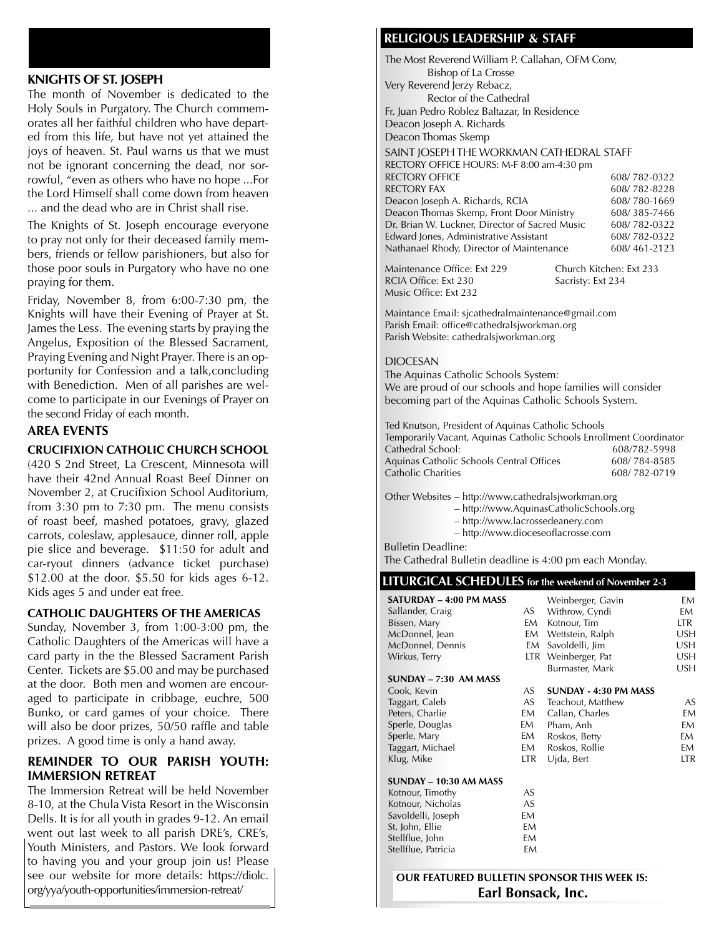#### **KNIGHTS OF ST. JOSEPH**

The month of November is dedicated to the Holy Souls in Purgatory. The Church commemorates all her faithful children who have departed from this life, but have not yet attained the joys of heaven. St. Paul warns us that we must not be ignorant concerning the dead, nor sorrowful, "even as others who have no hope ...For the Lord Himself shall come down from heaven ... and the dead who are in Christ shall rise.

The Knights of St. Joseph encourage everyone to pray not only for their deceased family members, friends or fellow parishioners, but also for those poor souls in Purgatory who have no one praying for them.

Friday, November 8, from 6:00-7:30 pm, the Knights will have their Evening of Prayer at St. James the Less. The evening starts by praying the Angelus, Exposition of the Blessed Sacrament, Praying Evening and Night Prayer. There is an opportunity for Confession and a talk,concluding with Benediction. Men of all parishes are welcome to participate in our Evenings of Prayer on the second Friday of each month.

#### **AREA EVENTS**

#### **CRUCIFIXION CATHOLIC CHURCH SCHOOL**

(420 S 2nd Street, La Crescent, Minnesota will have their 42nd Annual Roast Beef Dinner on November 2, at Crucifixion School Auditorium, from 3:30 pm to 7:30 pm. The menu consists of roast beef, mashed potatoes, gravy, glazed carrots, coleslaw, applesauce, dinner roll, apple pie slice and beverage. \$11:50 for adult and car-ryout dinners (advance ticket purchase) \$12.00 at the door. \$5.50 for kids ages 6-12. Kids ages 5 and under eat free.

#### **CATHOLIC DAUGHTERS OF THE AMERICAS**

Sunday, November 3, from 1:00-3:00 pm, the Catholic Daughters of the Americas will have a card party in the the Blessed Sacrament Parish Center. Tickets are \$5.00 and may be purchased at the door. Both men and women are encouraged to participate in cribbage, euchre, 500 Bunko, or card games of your choice. There will also be door prizes, 50/50 raffle and table prizes. A good time is only a hand away.

#### **REMINDER TO OUR PARISH YOUTH: IMMERSION RETREAT**

The Immersion Retreat will be held November 8-10, at the Chula Vista Resort in the Wisconsin Dells. It is for all youth in grades 9-12. An email went out last week to all parish DRE's, CRE's, Youth Ministers, and Pastors. We look forward to having you and your group join us! Please see our website for more details: https://diolc. org/yya/youth-opportunities/immersion-retreat/

#### **RELIGIOUS LEADERSHIP & STAFF**

The Most Reverend William P. Callahan, OFM Conv, Bishop of La Crosse Very Reverend Jerzy Rebacz, Rector of the Cathedral Fr. Juan Pedro Roblez Baltazar, In Residence Deacon Joseph A. Richards Deacon Thomas Skemp SAINT JOSEPH THE WORKMAN CATHEDRAL STAFF RECTORY OFFICE HOURS: M-F 8:00 am-4:30 pm RECTORY OFFICE 608/ 782-0322<br>RECTORY FAX 608/ 782-8228 608/ 782-8228<br>608/ 780-1669 Deacon Joseph A. Richards, RCIA Deacon Thomas Skemp, Front Door Ministry 608/ 385-7466 Dr. Brian W. Luckner, Director of Sacred Music 608/ 782-0322 Edward Jones, Administrative Assistant 608/ 782-0322 Nathanael Rhody, Director of Maintenance 608/ 461-2123 Maintenance Office: Ext 229 Church Kitchen: Ext 233

RCIA Office: Ext 230 Sacristy: Ext 234 Music Office: Ext 232

Maintance Email: sjcathedralmaintenance@gmail.com Parish Email: office@cathedralsjworkman.org Parish Website: cathedralsjworkman.org

#### DIOCESAN

The Aquinas Catholic Schools System: We are proud of our schools and hope families will consider becoming part of the Aquinas Catholic Schools System.

Ted Knutson, President of Aquinas Catholic Schools Temporarily Vacant, Aquinas Catholic Schools Enrollment Coordinator Cathedral School: 608/782-5998 Aquinas Catholic Schools Central Offices 608/784-8585 Catholic Charities 608/782-0719

Other Websites – http://www.cathedralsjworkman.org

- http://www.AquinasCatholicSchools.org
- http://www.lacrossedeanery.com
- http://www.dioceseoflacrosse.com

Bulletin Deadline: The Cathedral Bulletin deadline is 4:00 pm each Monday.

#### **LITURGICAL SCHEDULES for the weekend of November 2-3 SATURDAY – 4:00 PM MASS** Weinberger, Gavin EM

| SAIUNDAI – 4.00 FM MASS |      | vvelmberger, Gavin    | <b>EIVI</b> |
|-------------------------|------|-----------------------|-------------|
| Sallander, Craig        | AS   | Withrow, Cyndi        | EM          |
| Bissen, Mary            | EM   | Kotnour, Tim          | LTR.        |
| McDonnel, Jean          | EM   | Wettstein, Ralph      | USH         |
| McDonnel, Dennis        | EM   | Savoldelli, Jim       | <b>USH</b>  |
| Wirkus, Terry           | LTR. | Weinberger, Pat       | USH         |
|                         |      | Burmaster, Mark       | USH         |
| SUNDAY – 7:30  AM MASS  |      |                       |             |
| Cook, Kevin             | AS   | SUNDAY - 4:30 PM MASS |             |
| Taggart, Caleb          | AS   | Teachout, Matthew     | AS          |
| Peters, Charlie         | EM   | Callan, Charles       | EM          |
| Sperle, Douglas         | EM   | Pham, Anh             | EM          |
| Sperle, Mary            | EM   | Roskos, Betty         | EM          |
| Taggart, Michael        | EM   | Roskos, Rollie        | EM          |
| Klug, Mike              | LTR  | Ujda, Bert            | ltr         |
| SUNDAY - 10:30 AM MASS  |      |                       |             |
| Kotnour, Timothy        | AS   |                       |             |
| Kotnour, Nicholas       | AS   |                       |             |
| Savoldelli, Joseph      | EM   |                       |             |
|                         |      |                       |             |

| Kotnour, Nicholas   | AS. |
|---------------------|-----|
| Savoldelli, Joseph  | FΜ  |
| St. John, Ellie     | EM  |
| Stellflue, John     | FM  |
| Stellflue, Patricia | FΜ  |
|                     |     |

**OUR FEATURED BULLETIN SPONSOR THIS WEEK IS: Earl Bonsack, Inc.**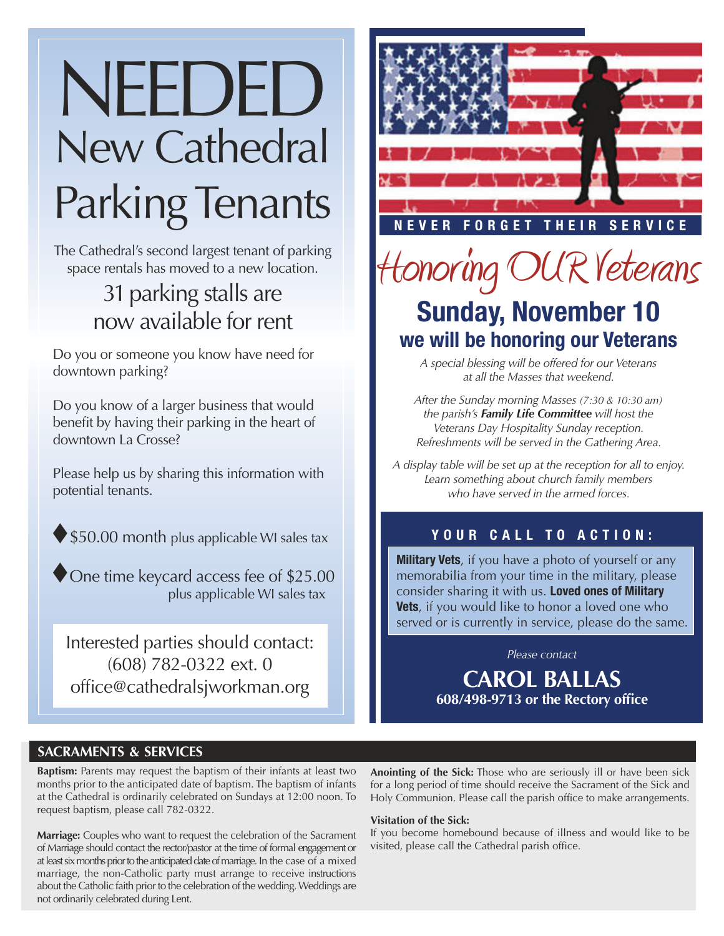# New Cathedral Parking Tenants NEEDED

The Cathedral's second largest tenant of parking space rentals has moved to a new location.

# 31 parking stalls are now available for rent

Do you or someone you know have need for downtown parking?

Do you know of a larger business that would benefit by having their parking in the heart of downtown La Crosse?

Please help us by sharing this information with potential tenants.



 $\blacklozenge$  One time keycard access fee of \$25.00 plus applicable WI sales tax

Interested parties should contact: (608) 782-0322 ext. 0 office@cathedralsjworkman.org



**ER FORGET THEIR SERVICE** 

# Honoring OUR Veterans **Sunday, November 10 we will be honoring our Veterans**

*A special blessing will be offered for our Veterans at all the Masses that weekend.*

*After the Sunday morning Masses (7:30 & 10:30 am) the parish's Family Life Committee will host the Veterans Day Hospitality Sunday reception. Refreshments will be served in the Gathering Area.*

*A display table will be set up at the reception for all to enjoy. Learn something about church family members who have served in the armed forces.*

## **YOUR CALL TO ACTION:**

**Military Vets**, if you have a photo of yourself or any memorabilia from your time in the military, please consider sharing it with us. **Loved ones of Military Vets**, if you would like to honor a loved one who served or is currently in service, please do the same.

*Please contact*

**CAROL BALLAS 608/498-9713 or the Rectory office** 

## **SACRAMENTS & SERVICES**

**Baptism:** Parents may request the baptism of their infants at least two months prior to the anticipated date of baptism. The baptism of infants at the Cathedral is ordinarily celebrated on Sundays at 12:00 noon. To request baptism, please call 782-0322.

**Marriage:** Couples who want to request the celebration of the Sacrament of Marriage should contact the rector/pastor at the time of formal engagement or at least six months prior to the anticipated date of marriage. In the case of a mixed marriage, the non-Catholic party must arrange to receive instructions about the Catholic faith prior to the celebration of the wedding. Weddings are not ordinarily celebrated during Lent.

**Anointing of the Sick:** Those who are seriously ill or have been sick for a long period of time should receive the Sacrament of the Sick and Holy Communion. Please call the parish office to make arrangements.

#### **Visitation of the Sick:**

If you become homebound because of illness and would like to be visited, please call the Cathedral parish office.